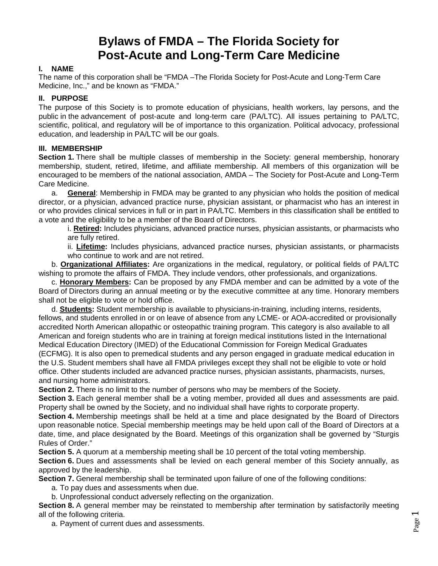# **Bylaws of FMDA – The Florida Society for Post-Acute and Long-Term Care Medicine**

# **I. NAME**

The name of this corporation shall be "FMDA –The Florida Society for Post-Acute and Long-Term Care Medicine, Inc.," and be known as "FMDA."

# **II. PURPOSE**

The purpose of this Society is to promote education of physicians, health workers, lay persons, and the public in the advancement of post-acute and long-term care (PA/LTC). All issues pertaining to PA/LTC, scientific, political, and regulatory will be of importance to this organization. Political advocacy, professional education, and leadership in PA/LTC will be our goals.

### **III. MEMBERSHIP**

**Section 1.** There shall be multiple classes of membership in the Society: general membership, honorary membership, student, retired, lifetime, and affiliate membership. All members of this organization will be encouraged to be members of the national association, AMDA – The Society for Post-Acute and Long-Term Care Medicine.

a. **General**: Membership in FMDA may be granted to any physician who holds the position of medical director, or a physician, advanced practice nurse, physician assistant, or pharmacist who has an interest in or who provides clinical services in full or in part in PA/LTC. Members in this classification shall be entitled to a vote and the eligibility to be a member of the Board of Directors.

i. **Retired:** Includes physicians, advanced practice nurses, physician assistants, or pharmacists who are fully retired.

ii. **Lifetime:** Includes physicians, advanced practice nurses, physician assistants, or pharmacists who continue to work and are not retired.

b. **Organizational Affiliates:** Are organizations in the medical, regulatory, or political fields of PA/LTC wishing to promote the affairs of FMDA. They include vendors, other professionals, and organizations.

c. **Honorary Members:** Can be proposed by any FMDA member and can be admitted by a vote of the Board of Directors during an annual meeting or by the executive committee at any time. Honorary members shall not be eligible to vote or hold office.

d. **Students:** Student membership is available to physicians-in-training, including interns, residents, fellows, and students enrolled in or on leave of absence from any LCME- or AOA-accredited or provisionally accredited North American allopathic or osteopathic training program. This category is also available to all American and foreign students who are in training at foreign medical institutions listed in the International Medical Education Directory (IMED) of the Educational Commission for Foreign Medical Graduates (ECFMG). It is also open to premedical students and any person engaged in graduate medical education in the U.S. Student members shall have all FMDA privileges except they shall not be eligible to vote or hold office. Other students included are advanced practice nurses, physician assistants, pharmacists, nurses, and nursing home administrators.

**Section 2.** There is no limit to the number of persons who may be members of the Society.

**Section 3.** Each general member shall be a voting member, provided all dues and assessments are paid. Property shall be owned by the Society, and no individual shall have rights to corporate property.

**Section 4.** Membership meetings shall be held at a time and place designated by the Board of Directors upon reasonable notice. Special membership meetings may be held upon call of the Board of Directors at a date, time, and place designated by the Board. Meetings of this organization shall be governed by "Sturgis Rules of Order."

**Section 5.** A quorum at a membership meeting shall be 10 percent of the total voting membership.

**Section 6.** Dues and assessments shall be levied on each general member of this Society annually, as approved by the leadership.

**Section 7.** General membership shall be terminated upon failure of one of the following conditions:

a. To pay dues and assessments when due.

b. Unprofessional conduct adversely reflecting on the organization.

**Section 8.** A general member may be reinstated to membership after termination by satisfactorily meeting all of the following criteria.

a. Payment of current dues and assessments.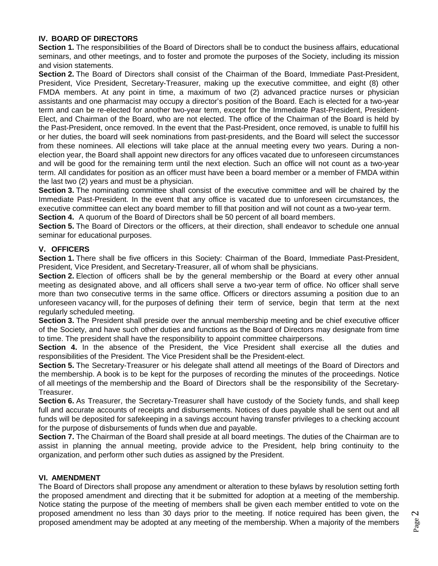# **IV. BOARD OF DIRECTORS**

**Section 1.** The responsibilities of the Board of Directors shall be to conduct the business affairs, educational seminars, and other meetings, and to foster and promote the purposes of the Society, including its mission and vision statements.

**Section 2.** The Board of Directors shall consist of the Chairman of the Board, Immediate Past-President, President, Vice President, Secretary-Treasurer, making up the executive committee, and eight (8) other FMDA members. At any point in time, a maximum of two (2) advanced practice nurses or physician assistants and one pharmacist may occupy a director's position of the Board. Each is elected for a two-year term and can be re-elected for another two-year term, except for the Immediate Past-President, President-Elect, and Chairman of the Board, who are not elected. The office of the Chairman of the Board is held by the Past-President, once removed. In the event that the Past-President, once removed, is unable to fulfill his or her duties, the board will seek nominations from past-presidents, and the Board will select the successor from these nominees. All elections will take place at the annual meeting every two years. During a nonelection year, the Board shall appoint new directors for any offices vacated due to unforeseen circumstances and will be good for the remaining term until the next election. Such an office will not count as a two-year term. All candidates for position as an officer must have been a board member or a member of FMDA within the last two (2) years and must be a physician.

**Section 3.** The nominating committee shall consist of the executive committee and will be chaired by the Immediate Past-President. In the event that any office is vacated due to unforeseen circumstances, the executive committee can elect any board member to fill that position and will not count as a two-year term.

**Section 4.** A quorum of the Board of Directors shall be 50 percent of all board members.

**Section 5.** The Board of Directors or the officers, at their direction, shall endeavor to schedule one annual seminar for educational purposes.

#### **V. OFFICERS**

**Section 1.** There shall be five officers in this Society: Chairman of the Board, Immediate Past-President, President, Vice President, and Secretary-Treasurer, all of whom shall be physicians.

**Section 2.** Election of officers shall be by the general membership or the Board at every other annual meeting as designated above, and all officers shall serve a two-year term of office. No officer shall serve more than two consecutive terms in the same office. Officers or directors assuming a position due to an unforeseen vacancy will, for the purposes of defining their term of service, begin that term at the next regularly scheduled meeting.

**Section 3.** The President shall preside over the annual membership meeting and be chief executive officer of the Society, and have such other duties and functions as the Board of Directors may designate from time to time. The president shall have the responsibility to appoint committee chairpersons.

**Section 4.** In the absence of the President, the Vice President shall exercise all the duties and responsibilities of the President. The Vice President shall be the President-elect.

**Section 5.** The Secretary-Treasurer or his delegate shall attend all meetings of the Board of Directors and the membership. A book is to be kept for the purposes of recording the minutes of the proceedings. Notice of all meetings of the membership and the Board of Directors shall be the responsibility of the Secretary-Treasurer.

**Section 6.** As Treasurer, the Secretary-Treasurer shall have custody of the Society funds, and shall keep full and accurate accounts of receipts and disbursements. Notices of dues payable shall be sent out and all funds will be deposited for safekeeping in a savings account having transfer privileges to a checking account for the purpose of disbursements of funds when due and payable.

**Section 7.** The Chairman of the Board shall preside at all board meetings. The duties of the Chairman are to assist in planning the annual meeting, provide advice to the President, help bring continuity to the organization, and perform other such duties as assigned by the President.

#### **VI. AMENDMENT**

The Board of Directors shall propose any amendment or alteration to these bylaws by resolution setting forth the proposed amendment and directing that it be submitted for adoption at a meeting of the membership. Notice stating the purpose of the meeting of members shall be given each member entitled to vote on the proposed amendment no less than 30 days prior to the meeting. If notice required has been given, the proposed amendment may be adopted at any meeting of the membership. When a majority of the members